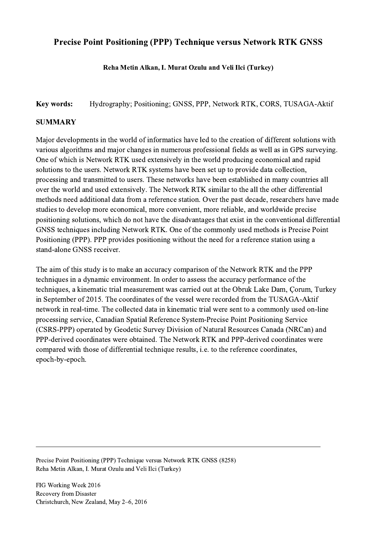## Precise Point Positioning (PPP) Technique versus Network RTK GNSS

## Reha Metin Alkan, I. Murat Ozulu and Veli Ilci (Turkey)

## Key words: Hydrography; Positioning; GNSS, PPP, Network RTK, CORS, TUSAGA-Aktif

## **SUMMARY**

Major developments in the world of informatics have led to the creation of different solutions with various algorithms and major changes in numerous professional fields as well as in GPS surveying. One of which is Network RTK used extensively in the world producing economical and rapid solutions to the users. Network RTK systems have been set up to provide data collection, processing and transmitted to users. These networks have been established in many countries all over the world and used extensively. The Network RTK similar to the all the other differential methods need additional data from a reference station. Over the past decade, researchers have made studies to develop more economical, more convenient, more reliable, and worldwide precise positioning solutions, which do not have the disadvantages that exist in the conventional differential GNSS techniques including Network RTK. One of the commonly used methods is Precise Point Positioning (PPP). PPP provides positioning without the need for a reference station using a stand-alone GNSS receiver.

The aim of this study is to make an accuracy comparison of the Network RTK and the PPP techniques in a dynamic environment. In order to assess the accuracy performance of the techniques, a kinematic trial measurement was carried out at the Obruk Lake Dam, Çorum, Turkey in September of 2015. The coordinates of the vessel were recorded from the TUSAGA-Aktif network in real-time. The collected data in kinematic trial were sent to a commonly used on-line processing service, Canadian Spatial Reference System-Precise Point Positioning Service (CSRS-PPP) operated by Geodetic Survey Division of Natural Resources Canada (NRCan) and PPP-derived coordinates were obtained. The Network RTK and PPP-derived coordinates were compared with those of differential technique results, i.e. to the reference coordinates, epoch-by-epoch.

 $\mathcal{L}_\mathcal{L} = \{ \mathcal{L}_\mathcal{L} = \{ \mathcal{L}_\mathcal{L} = \{ \mathcal{L}_\mathcal{L} = \{ \mathcal{L}_\mathcal{L} = \{ \mathcal{L}_\mathcal{L} = \{ \mathcal{L}_\mathcal{L} = \{ \mathcal{L}_\mathcal{L} = \{ \mathcal{L}_\mathcal{L} = \{ \mathcal{L}_\mathcal{L} = \{ \mathcal{L}_\mathcal{L} = \{ \mathcal{L}_\mathcal{L} = \{ \mathcal{L}_\mathcal{L} = \{ \mathcal{L}_\mathcal{L} = \{ \mathcal{L}_\mathcal{$ 

Precise Point Positioning (PPP) Technique versus Network RTK GNSS (8258) Reha Metin Alkan, I. Murat Ozulu and Veli Ilci (Turkey)

FIG Working Week 2016 Recovery from Disaster Christchurch, New Zealand, May 2–6, 2016